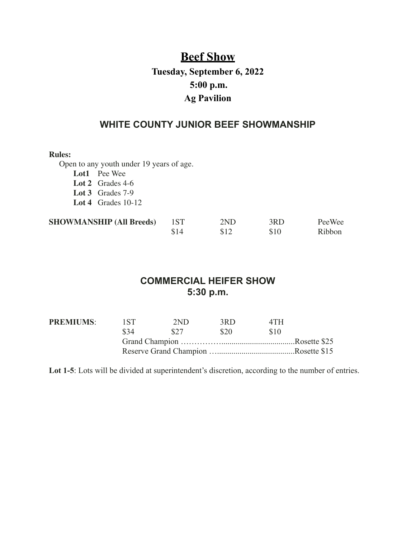# **Beef Show Tuesday, September 6, 2022 5:00 p.m. Ag Pavilion**

### **WHITE COUNTY JUNIOR BEEF SHOWMANSHIP**

**Rules:**

Open to any youth under 19 years of age.

**Lot1** Pee Wee

**Lot 2** Grades 4-6

**Lot 3** Grades 7-9

**Lot 4** Grades 10-12

| <b>SHOWMANSHIP (All Breeds)</b> |      | 2ND | 3RD  | PeeWee |
|---------------------------------|------|-----|------|--------|
|                                 | \$14 |     | \$10 | Ribbon |

## **COMMERCIAL HEIFER SHOW 5:30 p.m.**

| <b>PREMIUMS:</b> | 1.ST | 2ND               | 3RD  | 4 T H            |  |
|------------------|------|-------------------|------|------------------|--|
|                  | \$34 | - S <sub>27</sub> | \$20 | -S <sub>10</sub> |  |
|                  |      |                   |      |                  |  |
|                  |      |                   |      |                  |  |

Lot 1-5: Lots will be divided at superintendent's discretion, according to the number of entries.